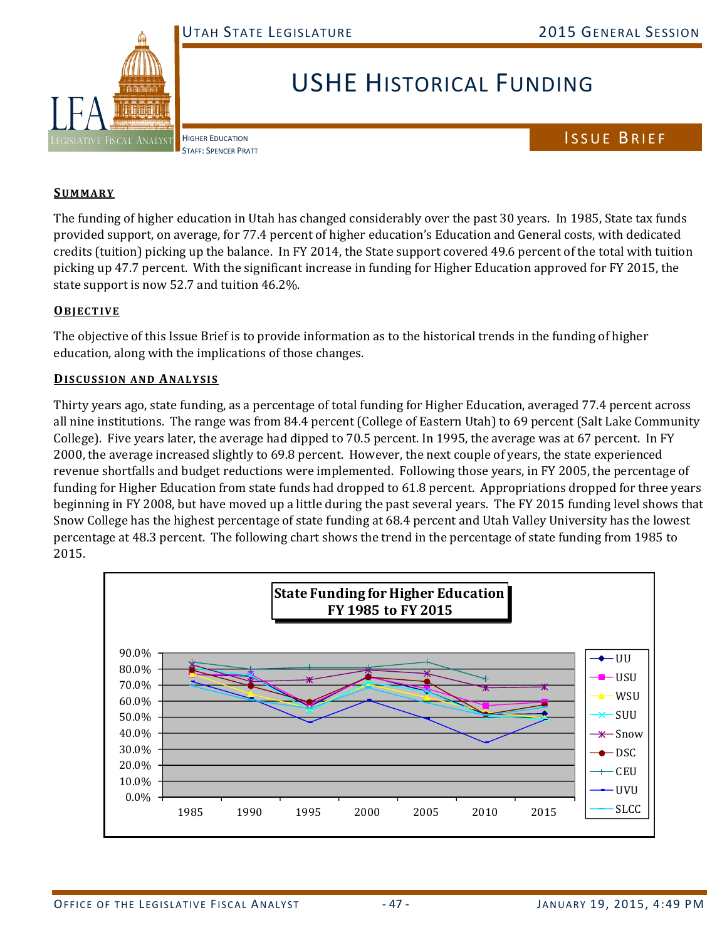

## USHE HISTORICAL FUNDING

HIGHER EDUCATION STAFF: SPENCER PRATT ISSUE BRIEF

## **SUMMARY**

The funding of higher education in Utah has changed considerably over the past 30 years. In 1985, State tax funds provided support, on average, for 77.4 percent of higher education's Education and General costs, with dedicated credits (tuition) picking up the balance. In FY 2014, the State support covered 49.6 percent of the total with tuition picking up 47.7 percent. With the significant increase in funding for Higher Education approved for FY 2015, the state support is now 52.7 and tuition  $46.2\%$ .

## **OBJECTIVE**

The objective of this Issue Brief is to provide information as to the historical trends in the funding of higher education, along with the implications of those changes.

## **DISCUSSION AND ANALYSIS**

Thirty years ago, state funding, as a percentage of total funding for Higher Education, averaged 77.4 percent across all nine institutions. The range was from 84.4 percent (College of Eastern Utah) to 69 percent (Salt Lake Community College). Five years later, the average had dipped to 70.5 percent. In 1995, the average was at 67 percent. In FY 2000, the average increased slightly to 69.8 percent. However, the next couple of years, the state experienced revenue shortfalls and budget reductions were implemented. Following those years, in FY 2005, the percentage of funding for Higher Education from state funds had dropped to 61.8 percent. Appropriations dropped for three years beginning in FY 2008, but have moved up a little during the past several years. The FY 2015 funding level shows that Snow College has the highest percentage of state funding at 68.4 percent and Utah Valley University has the lowest percentage at 48.3 percent. The following chart shows the trend in the percentage of state funding from 1985 to 2015. 

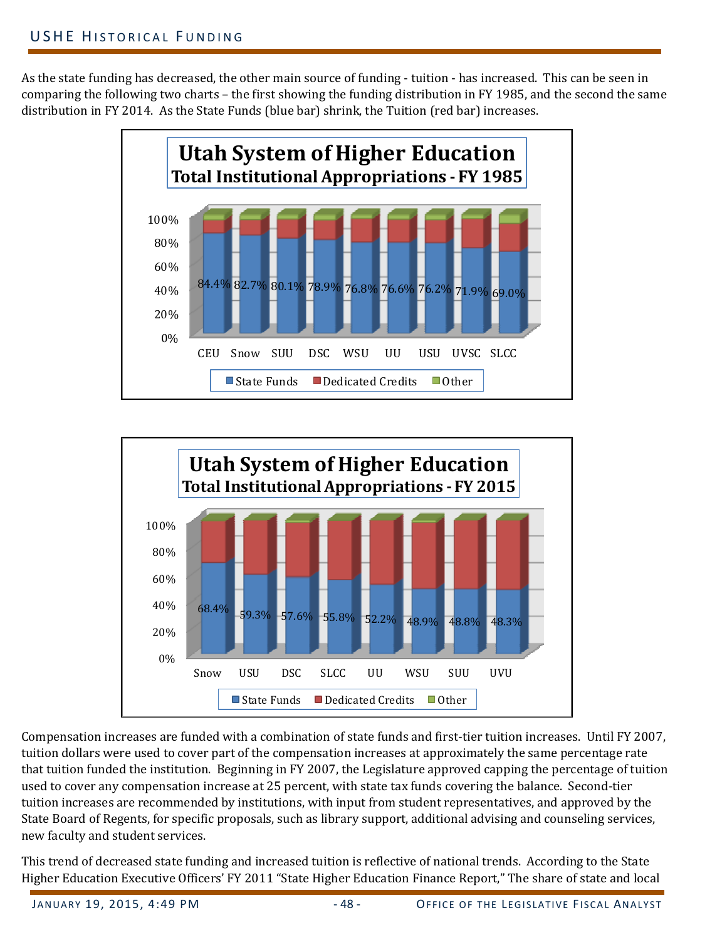As the state funding has decreased, the other main source of funding - tuition - has increased. This can be seen in comparing the following two charts – the first showing the funding distribution in FY 1985, and the second the same distribution in FY 2014. As the State Funds (blue bar) shrink, the Tuition (red bar) increases.





Compensation increases are funded with a combination of state funds and first-tier tuition increases. Until FY 2007, tuition dollars were used to cover part of the compensation increases at approximately the same percentage rate that tuition funded the institution. Beginning in FY 2007, the Legislature approved capping the percentage of tuition used to cover any compensation increase at 25 percent, with state tax funds covering the balance. Second-tier tuition increases are recommended by institutions, with input from student representatives, and approved by the State Board of Regents, for specific proposals, such as library support, additional advising and counseling services, new faculty and student services.

This trend of decreased state funding and increased tuition is reflective of national trends. According to the State Higher Education Executive Officers' FY 2011 "State Higher Education Finance Report," The share of state and local